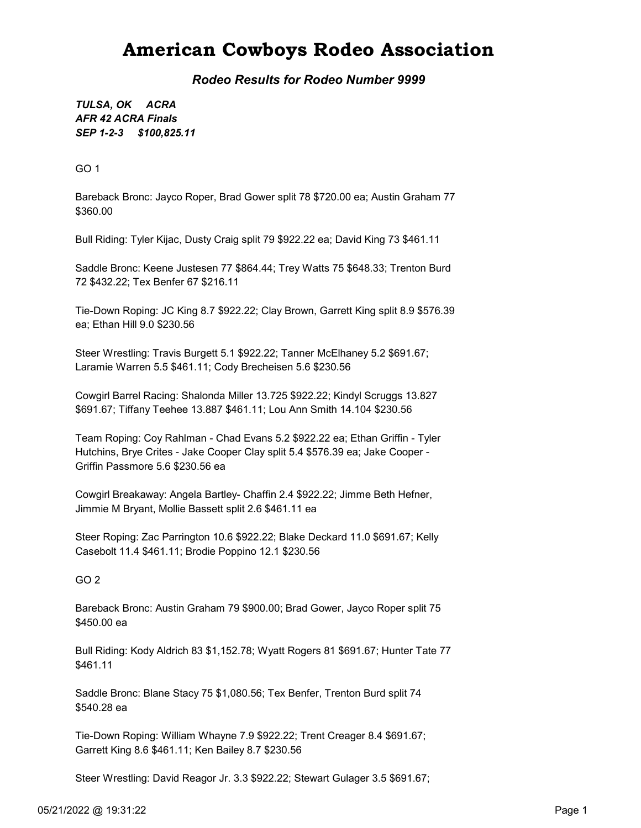## American Cowboys Rodeo Association

Rodeo Results for Rodeo Number 9999

SEP 1-2-3 \$100,825.11 TULSA, OK ACRA AFR 42 ACRA Finals

GO 1

Bareback Bronc: Jayco Roper, Brad Gower split 78 \$720.00 ea; Austin Graham 77 \$360.00

Bull Riding: Tyler Kijac, Dusty Craig split 79 \$922.22 ea; David King 73 \$461.11

Saddle Bronc: Keene Justesen 77 \$864.44; Trey Watts 75 \$648.33; Trenton Burd 72 \$432.22; Tex Benfer 67 \$216.11

Tie-Down Roping: JC King 8.7 \$922.22; Clay Brown, Garrett King split 8.9 \$576.39 ea; Ethan Hill 9.0 \$230.56

Steer Wrestling: Travis Burgett 5.1 \$922.22; Tanner McElhaney 5.2 \$691.67; Laramie Warren 5.5 \$461.11; Cody Brecheisen 5.6 \$230.56

Cowgirl Barrel Racing: Shalonda Miller 13.725 \$922.22; Kindyl Scruggs 13.827 \$691.67; Tiffany Teehee 13.887 \$461.11; Lou Ann Smith 14.104 \$230.56

Team Roping: Coy Rahlman - Chad Evans 5.2 \$922.22 ea; Ethan Griffin - Tyler Hutchins, Brye Crites - Jake Cooper Clay split 5.4 \$576.39 ea; Jake Cooper - Griffin Passmore 5.6 \$230.56 ea

Cowgirl Breakaway: Angela Bartley- Chaffin 2.4 \$922.22; Jimme Beth Hefner, Jimmie M Bryant, Mollie Bassett split 2.6 \$461.11 ea

Steer Roping: Zac Parrington 10.6 \$922.22; Blake Deckard 11.0 \$691.67; Kelly Casebolt 11.4 \$461.11; Brodie Poppino 12.1 \$230.56

#### GO 2

Bareback Bronc: Austin Graham 79 \$900.00; Brad Gower, Jayco Roper split 75 \$450.00 ea

Bull Riding: Kody Aldrich 83 \$1,152.78; Wyatt Rogers 81 \$691.67; Hunter Tate 77 \$461.11

Saddle Bronc: Blane Stacy 75 \$1,080.56; Tex Benfer, Trenton Burd split 74 \$540.28 ea

Tie-Down Roping: William Whayne 7.9 \$922.22; Trent Creager 8.4 \$691.67; Garrett King 8.6 \$461.11; Ken Bailey 8.7 \$230.56

Steer Wrestling: David Reagor Jr. 3.3 \$922.22; Stewart Gulager 3.5 \$691.67;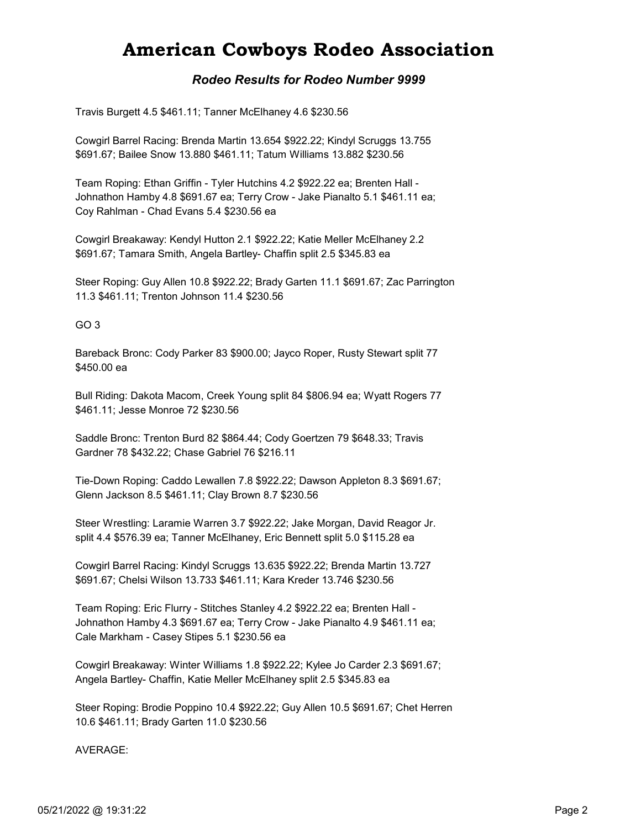## American Cowboys Rodeo Association

### Rodeo Results for Rodeo Number 9999

Travis Burgett 4.5 \$461.11; Tanner McElhaney 4.6 \$230.56

Cowgirl Barrel Racing: Brenda Martin 13.654 \$922.22; Kindyl Scruggs 13.755 \$691.67; Bailee Snow 13.880 \$461.11; Tatum Williams 13.882 \$230.56

Team Roping: Ethan Griffin - Tyler Hutchins 4.2 \$922.22 ea; Brenten Hall - Johnathon Hamby 4.8 \$691.67 ea; Terry Crow - Jake Pianalto 5.1 \$461.11 ea; Coy Rahlman - Chad Evans 5.4 \$230.56 ea

Cowgirl Breakaway: Kendyl Hutton 2.1 \$922.22; Katie Meller McElhaney 2.2 \$691.67; Tamara Smith, Angela Bartley- Chaffin split 2.5 \$345.83 ea

Steer Roping: Guy Allen 10.8 \$922.22; Brady Garten 11.1 \$691.67; Zac Parrington 11.3 \$461.11; Trenton Johnson 11.4 \$230.56

#### GO 3

Bareback Bronc: Cody Parker 83 \$900.00; Jayco Roper, Rusty Stewart split 77 \$450.00 ea

Bull Riding: Dakota Macom, Creek Young split 84 \$806.94 ea; Wyatt Rogers 77 \$461.11; Jesse Monroe 72 \$230.56

Saddle Bronc: Trenton Burd 82 \$864.44; Cody Goertzen 79 \$648.33; Travis Gardner 78 \$432.22; Chase Gabriel 76 \$216.11

Tie-Down Roping: Caddo Lewallen 7.8 \$922.22; Dawson Appleton 8.3 \$691.67; Glenn Jackson 8.5 \$461.11; Clay Brown 8.7 \$230.56

Steer Wrestling: Laramie Warren 3.7 \$922.22; Jake Morgan, David Reagor Jr. split 4.4 \$576.39 ea; Tanner McElhaney, Eric Bennett split 5.0 \$115.28 ea

Cowgirl Barrel Racing: Kindyl Scruggs 13.635 \$922.22; Brenda Martin 13.727 \$691.67; Chelsi Wilson 13.733 \$461.11; Kara Kreder 13.746 \$230.56

Team Roping: Eric Flurry - Stitches Stanley 4.2 \$922.22 ea; Brenten Hall - Johnathon Hamby 4.3 \$691.67 ea; Terry Crow - Jake Pianalto 4.9 \$461.11 ea; Cale Markham - Casey Stipes 5.1 \$230.56 ea

Cowgirl Breakaway: Winter Williams 1.8 \$922.22; Kylee Jo Carder 2.3 \$691.67; Angela Bartley- Chaffin, Katie Meller McElhaney split 2.5 \$345.83 ea

Steer Roping: Brodie Poppino 10.4 \$922.22; Guy Allen 10.5 \$691.67; Chet Herren 10.6 \$461.11; Brady Garten 11.0 \$230.56

AVERAGE: